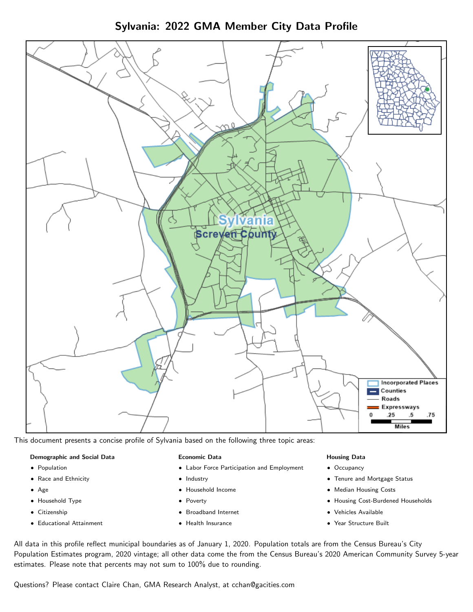Sylvania: 2022 GMA Member City Data Profile



This document presents a concise profile of Sylvania based on the following three topic areas:

## Demographic and Social Data

- **•** Population
- Race and Ethnicity
- Age
- Household Type
- **Citizenship**
- Educational Attainment

#### Economic Data

- Labor Force Participation and Employment
- Industry
- Household Income
- Poverty
- Broadband Internet
- Health Insurance

#### Housing Data

- Occupancy
- Tenure and Mortgage Status
- Median Housing Costs
- Housing Cost-Burdened Households
- Vehicles Available
- Year Structure Built

All data in this profile reflect municipal boundaries as of January 1, 2020. Population totals are from the Census Bureau's City Population Estimates program, 2020 vintage; all other data come the from the Census Bureau's 2020 American Community Survey 5-year estimates. Please note that percents may not sum to 100% due to rounding.

Questions? Please contact Claire Chan, GMA Research Analyst, at [cchan@gacities.com.](mailto:cchan@gacities.com)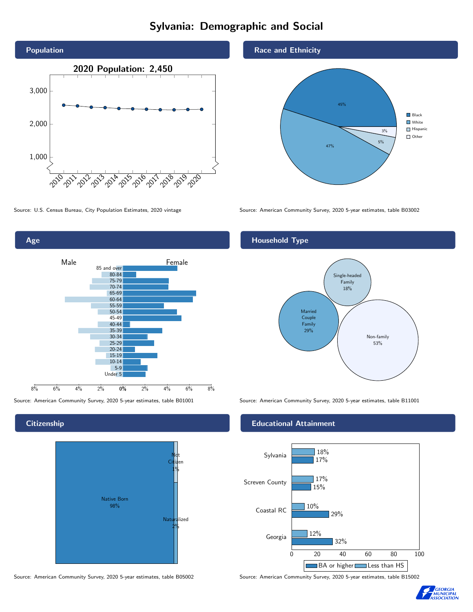# Sylvania: Demographic and Social





**Citizenship** 



Source: American Community Survey, 2020 5-year estimates, table B05002 Source: American Community Survey, 2020 5-year estimates, table B15002

Race and Ethnicity



Source: U.S. Census Bureau, City Population Estimates, 2020 vintage Source: American Community Survey, 2020 5-year estimates, table B03002

## Household Type



Source: American Community Survey, 2020 5-year estimates, table B01001 Source: American Community Survey, 2020 5-year estimates, table B11001

### Educational Attainment



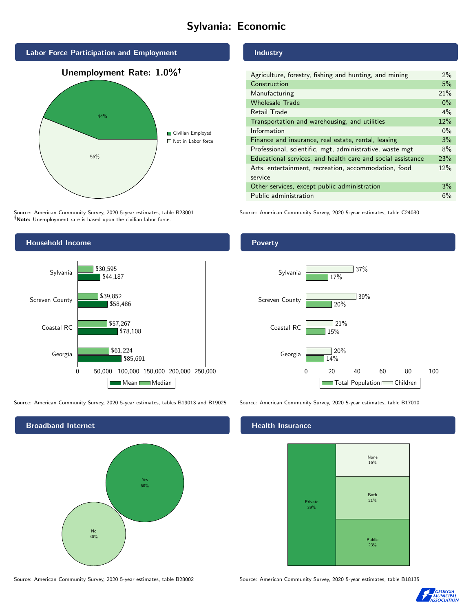# Sylvania: Economic



Source: American Community Survey, 2020 5-year estimates, table B23001 Note: Unemployment rate is based upon the civilian labor force.

# Household Income 0 50,000 100,000 150,000 200,000 250,000 Georgia Coastal RC Screven County Sylvania \$85,691 \$78,108 \$58,486 \$44,187 \$61,224 \$57,267 \$39,852 \$30,595 Mean Median

Source: American Community Survey, 2020 5-year estimates, tables B19013 and B19025 Source: American Community Survey, 2020 5-year estimates, table B17010

Broadband Internet No 40% Yes 60%

Source: American Community Survey, 2020 5-year estimates, table B28002 Source: American Community Survey, 2020 5-year estimates, table B18135

Industry

| Agriculture, forestry, fishing and hunting, and mining      | $2\%$ |
|-------------------------------------------------------------|-------|
| Construction                                                | 5%    |
| Manufacturing                                               | 21%   |
| <b>Wholesale Trade</b>                                      | $0\%$ |
| Retail Trade                                                | $4\%$ |
| Transportation and warehousing, and utilities               | 12%   |
| Information                                                 | $0\%$ |
| Finance and insurance, real estate, rental, leasing         | 3%    |
| Professional, scientific, mgt, administrative, waste mgt    | 8%    |
| Educational services, and health care and social assistance | 23%   |
| Arts, entertainment, recreation, accommodation, food        | 12%   |
| service                                                     |       |
| Other services, except public administration                | 3%    |
| Public administration                                       | 6%    |

Source: American Community Survey, 2020 5-year estimates, table C24030

Poverty



## Health Insurance